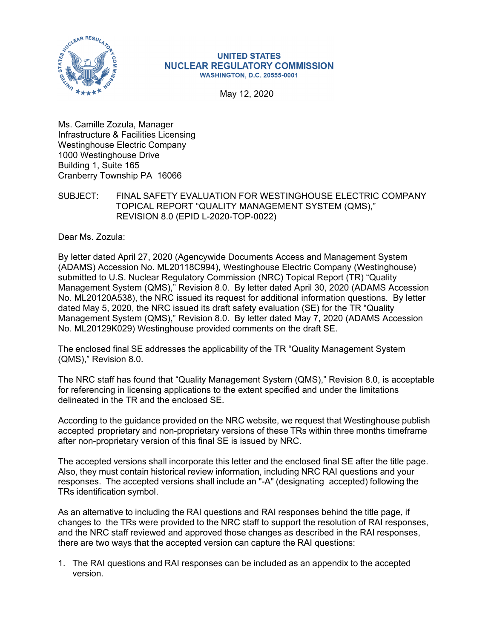

## **UNITED STATES NUCLEAR REGULATORY COMMISSION WASHINGTON, D.C. 20555-0001**

May 12, 2020

Ms. Camille Zozula, Manager Infrastructure & Facilities Licensing Westinghouse Electric Company 1000 Westinghouse Drive Building 1, Suite 165 Cranberry Township PA 16066

SUBJECT: FINAL SAFETY EVALUATION FOR WESTINGHOUSE ELECTRIC COMPANY TOPICAL REPORT "QUALITY MANAGEMENT SYSTEM (QMS)," REVISION 8.0 (EPID L-2020-TOP-0022)

Dear Ms. Zozula:

By letter dated April 27, 2020 (Agencywide Documents Access and Management System (ADAMS) Accession No. ML20118C994), Westinghouse Electric Company (Westinghouse) submitted to U.S. Nuclear Regulatory Commission (NRC) Topical Report (TR) "Quality Management System (QMS)," Revision 8.0. By letter dated April 30, 2020 (ADAMS Accession No. ML20120A538), the NRC issued its request for additional information questions. By letter dated May 5, 2020, the NRC issued its draft safety evaluation (SE) for the TR "Quality Management System (QMS)," Revision 8.0. By letter dated May 7, 2020 (ADAMS Accession No. ML20129K029) Westinghouse provided comments on the draft SE.

The enclosed final SE addresses the applicability of the TR "Quality Management System (QMS)," Revision 8.0.

The NRC staff has found that "Quality Management System (QMS)," Revision 8.0, is acceptable for referencing in licensing applications to the extent specified and under the limitations delineated in the TR and the enclosed SE.

According to the guidance provided on the NRC website, we request that Westinghouse publish accepted proprietary and non-proprietary versions of these TRs within three months timeframe after non-proprietary version of this final SE is issued by NRC.

The accepted versions shall incorporate this letter and the enclosed final SE after the title page. Also, they must contain historical review information, including NRC RAI questions and your responses. The accepted versions shall include an "-A" (designating accepted) following the TRs identification symbol.

As an alternative to including the RAI questions and RAI responses behind the title page, if changes to the TRs were provided to the NRC staff to support the resolution of RAI responses, and the NRC staff reviewed and approved those changes as described in the RAI responses, there are two ways that the accepted version can capture the RAI questions:

1. The RAI questions and RAI responses can be included as an appendix to the accepted version.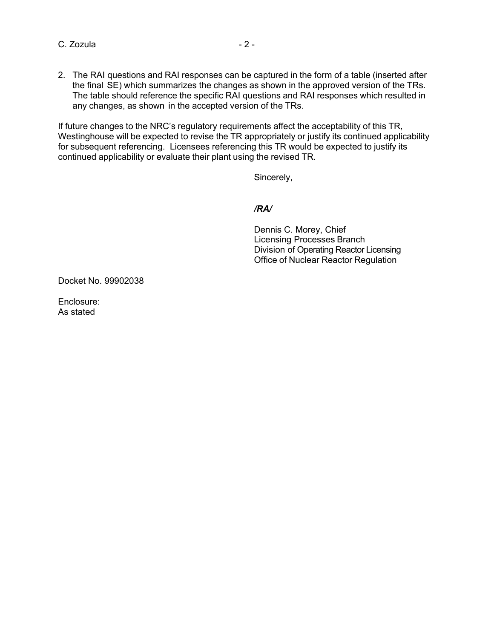C. Zozula  $-2 -$ 

2. The RAI questions and RAI responses can be captured in the form of a table (inserted after the final SE) which summarizes the changes as shown in the approved version of the TRs. The table should reference the specific RAI questions and RAI responses which resulted in any changes, as shown in the accepted version of the TRs.

If future changes to the NRC's regulatory requirements affect the acceptability of this TR, Westinghouse will be expected to revise the TR appropriately or justify its continued applicability for subsequent referencing. Licensees referencing this TR would be expected to justify its continued applicability or evaluate their plant using the revised TR.

Sincerely,

*/RA/* 

 Dennis C. Morey, Chief Licensing Processes Branch Division of Operating Reactor Licensing Office of Nuclear Reactor Regulation

Docket No. 99902038

Enclosure: As stated